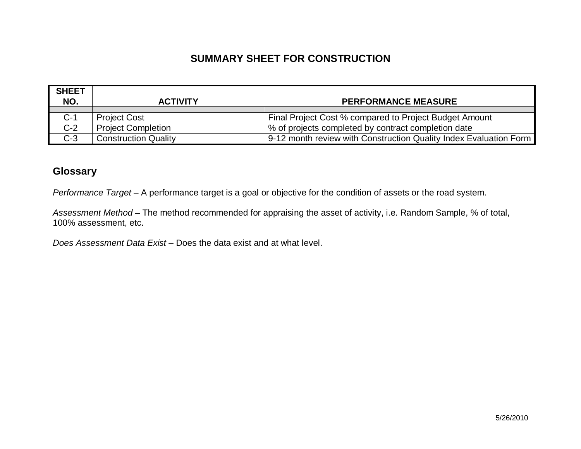### **SUMMARY SHEET FOR CONSTRUCTION**

| <b>SHEET</b><br>NO. | <b>ACTIVITY</b>             | <b>PERFORMANCE MEASURE</b>                                        |
|---------------------|-----------------------------|-------------------------------------------------------------------|
| $C-1$               | <b>Project Cost</b>         | Final Project Cost % compared to Project Budget Amount            |
| $C-2$               | <b>Project Completion</b>   | % of projects completed by contract completion date               |
| $C-3$               | <b>Construction Quality</b> | 9-12 month review with Construction Quality Index Evaluation Form |

#### **Glossary**

*Performance Target* – A performance target is a goal or objective for the condition of assets or the road system.

*Assessment Method* – The method recommended for appraising the asset of activity, i.e. Random Sample, % of total, 100% assessment, etc.

*Does Assessment Data Exist* – Does the data exist and at what level.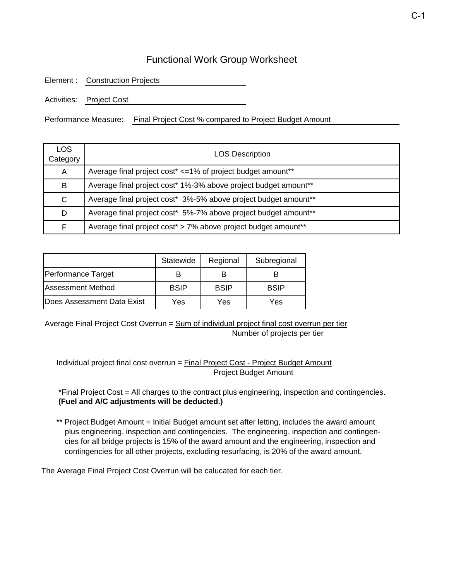### Functional Work Group Worksheet

Element : Construction Projects

Activities: Project Cost

Performance Measure: Final Project Cost % compared to Project Budget Amount

| LOS<br>Category | <b>LOS Description</b>                                          |
|-----------------|-----------------------------------------------------------------|
| A               | Average final project cost* <= 1% of project budget amount**    |
| B               | Average final project cost* 1%-3% above project budget amount** |
| C               | Average final project cost* 3%-5% above project budget amount** |
| D               | Average final project cost* 5%-7% above project budget amount** |
| F               | Average final project cost* > 7% above project budget amount**  |

|                                    | Statewide   | Regional    | Subregional |
|------------------------------------|-------------|-------------|-------------|
| Performance Target                 |             |             |             |
| <b>Assessment Method</b>           | <b>BSIP</b> | <b>BSIP</b> | <b>BSIP</b> |
| <b>IDoes Assessment Data Exist</b> | Yes         | Yes         | Yes         |

Average Final Project Cost Overrun = Sum of individual project final cost overrun per tier Number of projects per tier

Individual project final cost overrun = Final Project Cost - Project Budget Amount Project Budget Amount

 \*Final Project Cost = All charges to the contract plus engineering, inspection and contingencies. **(Fuel and A/C adjustments will be deducted.)**

\*\* Project Budget Amount = Initial Budget amount set after letting, includes the award amount plus engineering, inspection and contingencies. The engineering, inspection and contingen cies for all bridge projects is 15% of the award amount and the engineering, inspection and contingencies for all other projects, excluding resurfacing, is 20% of the award amount.

The Average Final Project Cost Overrun will be calucated for each tier.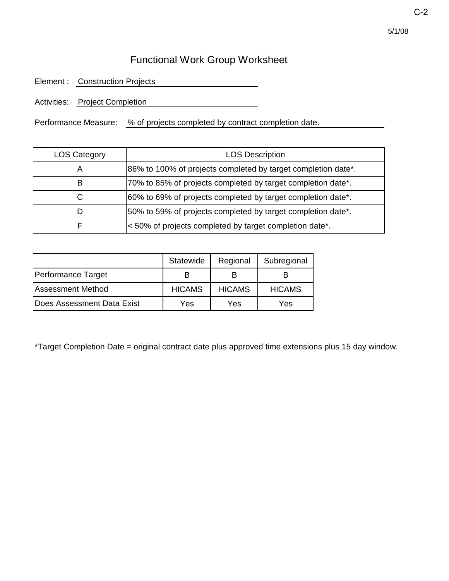# Functional Work Group Worksheet

Element : Construction Projects

Activities: Project Completion

Performance Measure: % of projects completed by contract completion date.

| <b>LOS Category</b> | <b>LOS Description</b>                                        |
|---------------------|---------------------------------------------------------------|
| A                   | 86% to 100% of projects completed by target completion date*. |
| в                   | 70% to 85% of projects completed by target completion date*.  |
|                     | 60% to 69% of projects completed by target completion date*.  |
|                     | 50% to 59% of projects completed by target completion date*.  |
|                     | <50% of projects completed by target completion date*.        |

|                            | Statewide     | Regional      | Subregional   |
|----------------------------|---------------|---------------|---------------|
| Performance Target         |               |               |               |
| Assessment Method          | <b>HICAMS</b> | <b>HICAMS</b> | <b>HICAMS</b> |
| Does Assessment Data Exist | Yes           | Yes           | Yes           |

\*Target Completion Date = original contract date plus approved time extensions plus 15 day window.